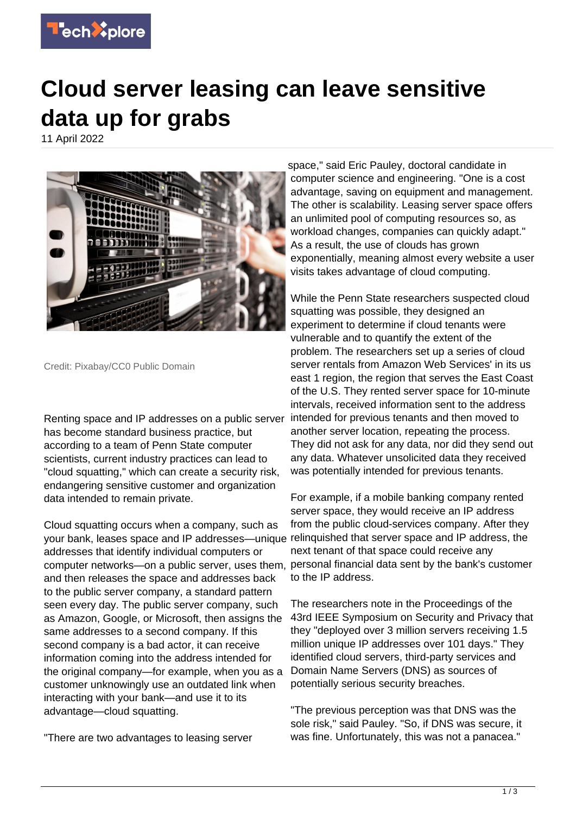

## **Cloud server leasing can leave sensitive data up for grabs**

11 April 2022



Credit: Pixabay/CC0 Public Domain

Renting space and IP addresses on a public server has become standard business practice, but according to a team of Penn State computer scientists, current industry practices can lead to "cloud squatting," which can create a security risk, endangering sensitive customer and organization data intended to remain private.

Cloud squatting occurs when a company, such as your bank, leases space and IP addresses—unique relinquished that server space and IP address, the addresses that identify individual computers or computer networks—on a public server, uses them, and then releases the space and addresses back to the public server company, a standard pattern seen every day. The public server company, such as Amazon, Google, or Microsoft, then assigns the same addresses to a second company. If this second company is a bad actor, it can receive information coming into the address intended for the original company—for example, when you as a customer unknowingly use an outdated link when interacting with your bank—and use it to its advantage—cloud squatting.

"There are two advantages to leasing server

space," said Eric Pauley, doctoral candidate in computer science and engineering. "One is a cost advantage, saving on equipment and management. The other is scalability. Leasing server space offers an unlimited pool of computing resources so, as workload changes, companies can quickly adapt." As a result, the use of clouds has grown exponentially, meaning almost every website a user visits takes advantage of cloud computing.

While the Penn State researchers suspected cloud squatting was possible, they designed an experiment to determine if cloud tenants were vulnerable and to quantify the extent of the problem. The researchers set up a series of cloud server rentals from Amazon Web Services' in its us east 1 region, the region that serves the East Coast of the U.S. They rented server space for 10-minute intervals, received information sent to the address intended for previous tenants and then moved to another server location, repeating the process. They did not ask for any data, nor did they send out any data. Whatever unsolicited data they received was potentially intended for previous tenants.

For example, if a mobile banking company rented server space, they would receive an IP address from the public cloud-services company. After they next tenant of that space could receive any personal financial data sent by the bank's customer to the IP address.

The researchers note in the Proceedings of the 43rd IEEE Symposium on Security and Privacy that they "deployed over 3 million servers receiving 1.5 million unique IP addresses over 101 days." They identified cloud servers, third-party services and Domain Name Servers (DNS) as sources of potentially serious security breaches.

"The previous perception was that DNS was the sole risk," said Pauley. "So, if DNS was secure, it was fine. Unfortunately, this was not a panacea."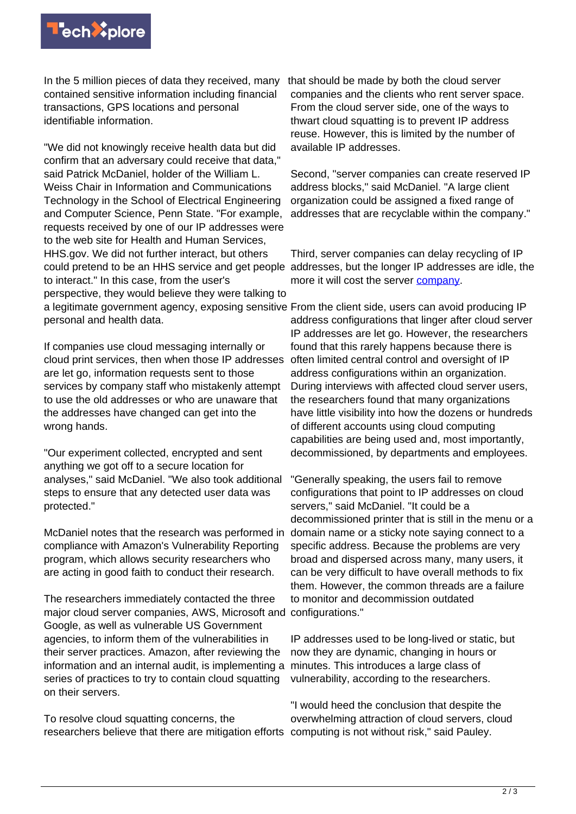

In the 5 million pieces of data they received, many that should be made by both the cloud server contained sensitive information including financial transactions, GPS locations and personal identifiable information.

"We did not knowingly receive health data but did confirm that an adversary could receive that data," said Patrick McDaniel, holder of the William L. Weiss Chair in Information and Communications Technology in the School of Electrical Engineering and Computer Science, Penn State. "For example, requests received by one of our IP addresses were to the web site for Health and Human Services, HHS.gov. We did not further interact, but others to interact." In this case, from the user's perspective, they would believe they were talking to a legitimate government agency, exposing sensitive From the client side, users can avoid producing IP personal and health data.

If companies use cloud messaging internally or cloud print services, then when those IP addresses are let go, information requests sent to those services by company staff who mistakenly attempt to use the old addresses or who are unaware that the addresses have changed can get into the wrong hands.

"Our experiment collected, encrypted and sent anything we got off to a secure location for analyses," said McDaniel. "We also took additional steps to ensure that any detected user data was protected."

McDaniel notes that the research was performed in compliance with Amazon's Vulnerability Reporting program, which allows security researchers who are acting in good faith to conduct their research.

The researchers immediately contacted the three major cloud server companies, AWS, Microsoft and configurations." Google, as well as vulnerable US Government agencies, to inform them of the vulnerabilities in their server practices. Amazon, after reviewing the information and an internal audit, is implementing a series of practices to try to contain cloud squatting on their servers.

To resolve cloud squatting concerns, the researchers believe that there are mitigation efforts computing is not without risk," said Pauley.

companies and the clients who rent server space. From the cloud server side, one of the ways to thwart cloud squatting is to prevent IP address reuse. However, this is limited by the number of available IP addresses.

Second, "server companies can create reserved IP address blocks," said McDaniel. "A large client organization could be assigned a fixed range of addresses that are recyclable within the company."

could pretend to be an HHS service and get people addresses, but the longer IP addresses are idle, the Third, server companies can delay recycling of IP more it will cost the server **[company](https://techxplore.com/tags/company/)**.

> address configurations that linger after cloud server IP addresses are let go. However, the researchers found that this rarely happens because there is often limited central control and oversight of IP address configurations within an organization. During interviews with affected cloud server users, the researchers found that many organizations have little visibility into how the dozens or hundreds of different accounts using cloud computing capabilities are being used and, most importantly, decommissioned, by departments and employees.

> "Generally speaking, the users fail to remove configurations that point to IP addresses on cloud servers," said McDaniel. "It could be a decommissioned printer that is still in the menu or a domain name or a sticky note saying connect to a specific address. Because the problems are very broad and dispersed across many, many users, it can be very difficult to have overall methods to fix them. However, the common threads are a failure to monitor and decommission outdated

IP addresses used to be long-lived or static, but now they are dynamic, changing in hours or minutes. This introduces a large class of vulnerability, according to the researchers.

"I would heed the conclusion that despite the overwhelming attraction of cloud servers, cloud